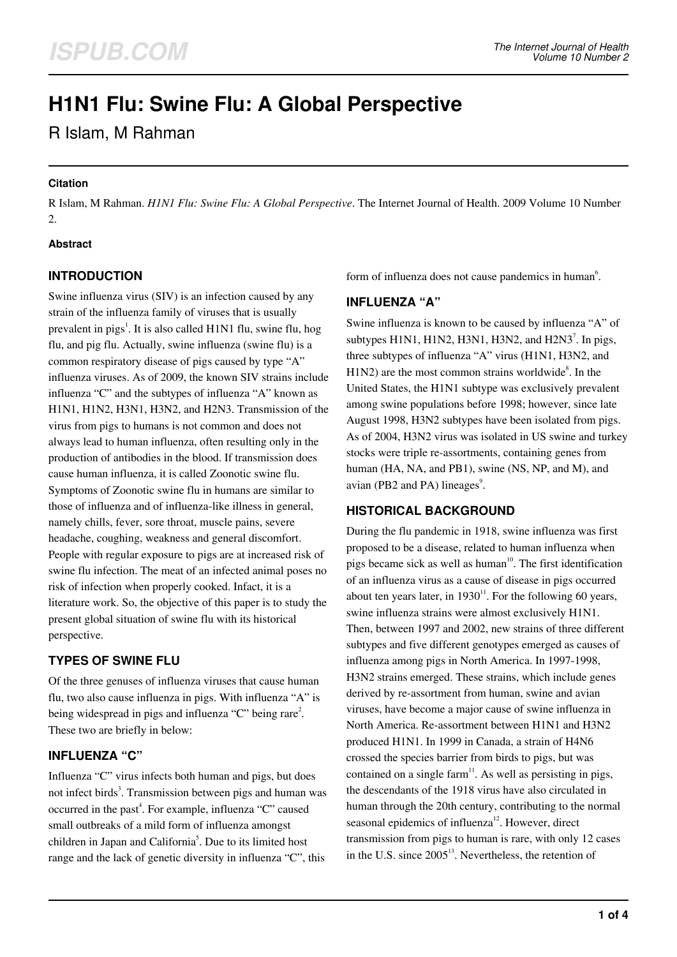# **H1N1 Flu: Swine Flu: A Global Perspective**

R Islam, M Rahman

### **Citation**

R Islam, M Rahman. *H1N1 Flu: Swine Flu: A Global Perspective*. The Internet Journal of Health. 2009 Volume 10 Number 2.

### **Abstract**

# **INTRODUCTION**

Swine influenza virus (SIV) is an infection caused by any strain of the influenza family of viruses that is usually prevalent in pigs<sup>1</sup>. It is also called H1N1 flu, swine flu, hog flu, and pig flu. Actually, swine influenza (swine flu) is a common respiratory disease of pigs caused by type "A" influenza viruses. As of 2009, the known SIV strains include influenza "C" and the subtypes of influenza "A" known as H1N1, H1N2, H3N1, H3N2, and H2N3. Transmission of the virus from pigs to humans is not common and does not always lead to human influenza, often resulting only in the production of antibodies in the blood. If transmission does cause human influenza, it is called Zoonotic swine flu. Symptoms of Zoonotic swine flu in humans are similar to those of influenza and of influenza-like illness in general, namely chills, fever, sore throat, muscle pains, severe headache, coughing, weakness and general discomfort. People with regular exposure to pigs are at increased risk of swine flu infection. The meat of an infected animal poses no risk of infection when properly cooked. Infact, it is a literature work. So, the objective of this paper is to study the present global situation of swine flu with its historical perspective.

# **TYPES OF SWINE FLU**

Of the three genuses of influenza viruses that cause human flu, two also cause influenza in pigs. With influenza "A" is being widespread in pigs and influenza "C" being rare<sup>2</sup>. These two are briefly in below:

# **INFLUENZA "C"**

Influenza "C" virus infects both human and pigs, but does not infect birds<sup>3</sup>. Transmission between pigs and human was occurred in the past<sup>4</sup>. For example, influenza "C" caused small outbreaks of a mild form of influenza amongst children in Japan and California<sup>5</sup>. Due to its limited host range and the lack of genetic diversity in influenza "C", this form of influenza does not cause pandemics in human<sup>6</sup>.

## **INFLUENZA "A"**

Swine influenza is known to be caused by influenza "A" of subtypes  $H1N1$ ,  $H1N2$ ,  $H3N1$ ,  $H3N2$ , and  $H2N3<sup>7</sup>$ . In pigs, three subtypes of influenza "A" virus (H1N1, H3N2, and  $H1N2$ ) are the most common strains worldwide<sup>8</sup>. In the United States, the H1N1 subtype was exclusively prevalent among swine populations before 1998; however, since late August 1998, H3N2 subtypes have been isolated from pigs. As of 2004, H3N2 virus was isolated in US swine and turkey stocks were triple re-assortments, containing genes from human (HA, NA, and PB1), swine (NS, NP, and M), and avian (PB2 and PA) lineages $^{\circ}$ .

## **HISTORICAL BACKGROUND**

During the flu pandemic in 1918, swine influenza was first proposed to be a disease, related to human influenza when pigs became sick as well as human $10$ . The first identification of an influenza virus as a cause of disease in pigs occurred about ten years later, in  $1930<sup>11</sup>$ . For the following 60 years, swine influenza strains were almost exclusively H1N1. Then, between 1997 and 2002, new strains of three different subtypes and five different genotypes emerged as causes of influenza among pigs in North America. In 1997-1998, H3N2 strains emerged. These strains, which include genes derived by re-assortment from human, swine and avian viruses, have become a major cause of swine influenza in North America. Re-assortment between H1N1 and H3N2 produced H1N1. In 1999 in Canada, a strain of H4N6 crossed the species barrier from birds to pigs, but was contained on a single farm $11$ . As well as persisting in pigs, the descendants of the 1918 virus have also circulated in human through the 20th century, contributing to the normal seasonal epidemics of influenza $12$ . However, direct transmission from pigs to human is rare, with only 12 cases in the U.S. since  $2005<sup>13</sup>$ . Nevertheless, the retention of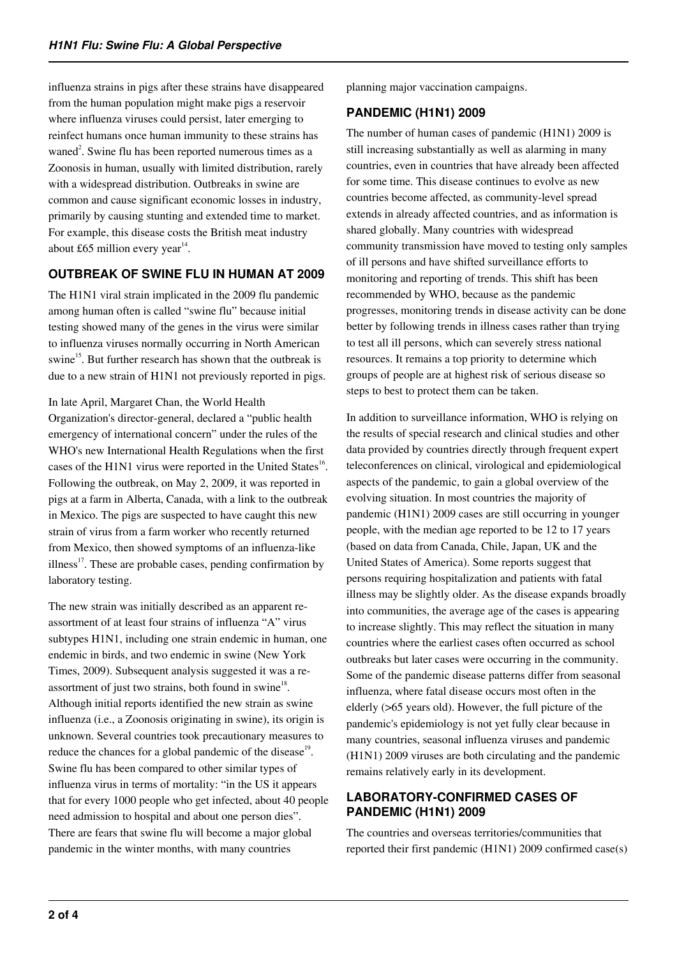influenza strains in pigs after these strains have disappeared from the human population might make pigs a reservoir where influenza viruses could persist, later emerging to reinfect humans once human immunity to these strains has waned<sup>2</sup>. Swine flu has been reported numerous times as a Zoonosis in human, usually with limited distribution, rarely with a widespread distribution. Outbreaks in swine are common and cause significant economic losses in industry, primarily by causing stunting and extended time to market. For example, this disease costs the British meat industry about £65 million every year $14$ .

# **OUTBREAK OF SWINE FLU IN HUMAN AT 2009**

The H1N1 viral strain implicated in the 2009 flu pandemic among human often is called "swine flu" because initial testing showed many of the genes in the virus were similar to influenza viruses normally occurring in North American swine<sup>15</sup>. But further research has shown that the outbreak is due to a new strain of H1N1 not previously reported in pigs.

In late April, Margaret Chan, the World Health Organization's director-general, declared a "public health emergency of international concern" under the rules of the WHO's new International Health Regulations when the first cases of the H1N1 virus were reported in the United States<sup>16</sup>. Following the outbreak, on May 2, 2009, it was reported in pigs at a farm in Alberta, Canada, with a link to the outbreak in Mexico. The pigs are suspected to have caught this new strain of virus from a farm worker who recently returned from Mexico, then showed symptoms of an influenza-like illness $17$ . These are probable cases, pending confirmation by laboratory testing.

The new strain was initially described as an apparent reassortment of at least four strains of influenza "A" virus subtypes H1N1, including one strain endemic in human, one endemic in birds, and two endemic in swine (New York Times, 2009). Subsequent analysis suggested it was a reassortment of just two strains, both found in swine $18$ . Although initial reports identified the new strain as swine influenza (i.e., a Zoonosis originating in swine), its origin is unknown. Several countries took precautionary measures to reduce the chances for a global pandemic of the disease<sup>19</sup>. Swine flu has been compared to other similar types of influenza virus in terms of mortality: "in the US it appears that for every 1000 people who get infected, about 40 people need admission to hospital and about one person dies". There are fears that swine flu will become a major global pandemic in the winter months, with many countries

planning major vaccination campaigns.

# **PANDEMIC (H1N1) 2009**

The number of human cases of pandemic (H1N1) 2009 is still increasing substantially as well as alarming in many countries, even in countries that have already been affected for some time. This disease continues to evolve as new countries become affected, as community-level spread extends in already affected countries, and as information is shared globally. Many countries with widespread community transmission have moved to testing only samples of ill persons and have shifted surveillance efforts to monitoring and reporting of trends. This shift has been recommended by WHO, because as the pandemic progresses, monitoring trends in disease activity can be done better by following trends in illness cases rather than trying to test all ill persons, which can severely stress national resources. It remains a top priority to determine which groups of people are at highest risk of serious disease so steps to best to protect them can be taken.

In addition to surveillance information, WHO is relying on the results of special research and clinical studies and other data provided by countries directly through frequent expert teleconferences on clinical, virological and epidemiological aspects of the pandemic, to gain a global overview of the evolving situation. In most countries the majority of pandemic (H1N1) 2009 cases are still occurring in younger people, with the median age reported to be 12 to 17 years (based on data from Canada, Chile, Japan, UK and the United States of America). Some reports suggest that persons requiring hospitalization and patients with fatal illness may be slightly older. As the disease expands broadly into communities, the average age of the cases is appearing to increase slightly. This may reflect the situation in many countries where the earliest cases often occurred as school outbreaks but later cases were occurring in the community. Some of the pandemic disease patterns differ from seasonal influenza, where fatal disease occurs most often in the elderly (>65 years old). However, the full picture of the pandemic's epidemiology is not yet fully clear because in many countries, seasonal influenza viruses and pandemic (H1N1) 2009 viruses are both circulating and the pandemic remains relatively early in its development.

## **LABORATORY-CONFIRMED CASES OF PANDEMIC (H1N1) 2009**

The countries and overseas territories/communities that reported their first pandemic (H1N1) 2009 confirmed case(s)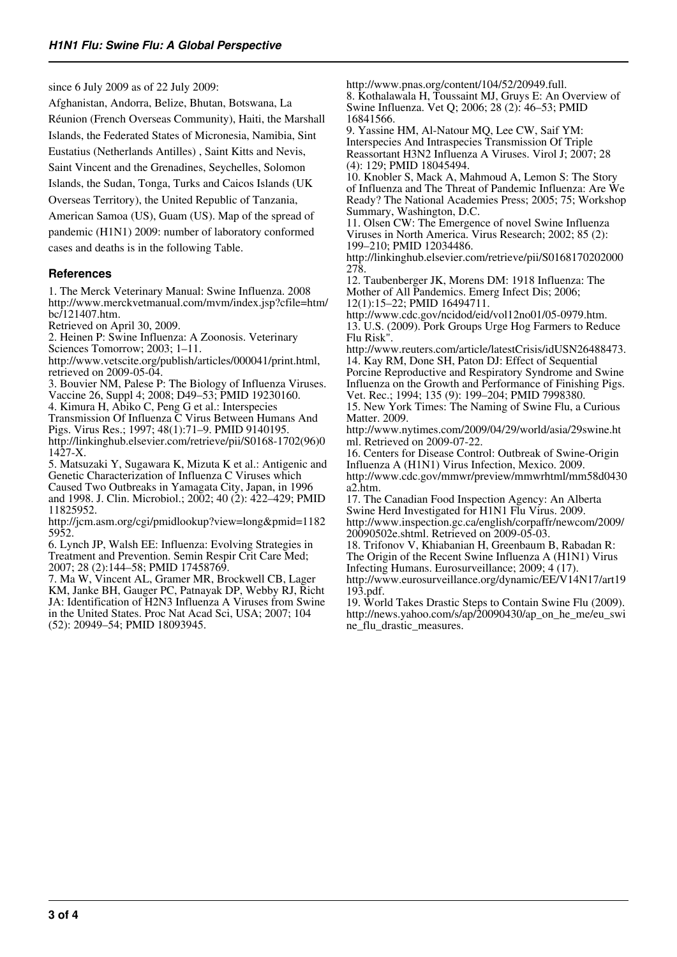since 6 July 2009 as of 22 July 2009:

Afghanistan, Andorra, Belize, Bhutan, Botswana, La Réunion (French Overseas Community), Haiti, the Marshall Islands, the Federated States of Micronesia, Namibia, Sint Eustatius (Netherlands Antilles) , Saint Kitts and Nevis, Saint Vincent and the Grenadines, Seychelles, Solomon Islands, the Sudan, Tonga, Turks and Caicos Islands (UK Overseas Territory), the United Republic of Tanzania, American Samoa (US), Guam (US). Map of the spread of pandemic (H1N1) 2009: number of laboratory conformed cases and deaths is in the following Table.

#### **References**

1. The Merck Veterinary Manual: Swine Influenza. 2008 http://www.merckvetmanual.com/mvm/index.jsp?cfile=htm/ bc/121407.htm.

Retrieved on April 30, 2009.

2. Heinen P: Swine Influenza: A Zoonosis. Veterinary Sciences Tomorrow; 2003; 1–11.

http://www.vetscite.org/publish/articles/000041/print.html, retrieved on 2009-05-04.

3. Bouvier NM, Palese P: The Biology of Influenza Viruses. Vaccine 26, Suppl 4; 2008; D49–53; PMID 19230160.

4. Kimura H, Abiko C, Peng G et al.: Interspecies

Transmission Of Influenza C Virus Between Humans And

Pigs. Virus Res.; 1997; 48(1):71–9. PMID 9140195. http://linkinghub.elsevier.com/retrieve/pii/S0168-1702(96)0 1427-X.

5. Matsuzaki Y, Sugawara K, Mizuta K et al.: Antigenic and Genetic Characterization of Influenza C Viruses which Caused Two Outbreaks in Yamagata City, Japan, in 1996 and 1998. J. Clin. Microbiol.; 2002; 40 (2): 422–429; PMID 11825952.

http://jcm.asm.org/cgi/pmidlookup?view=long&pmid=1182 5952.

6. Lynch JP, Walsh EE: Influenza: Evolving Strategies in Treatment and Prevention. Semin Respir Crit Care Med; 2007; 28 (2):144–58; PMID 17458769.

7. Ma W, Vincent AL, Gramer MR, Brockwell CB, Lager KM, Janke BH, Gauger PC, Patnayak DP, Webby RJ, Richt JA: Identification of H2N3 Influenza A Viruses from Swine in the United States. Proc Nat Acad Sci, USA; 2007; 104 (52): 20949–54; PMID 18093945.

http://www.pnas.org/content/104/52/20949.full.

8. Kothalawala H, Toussaint MJ, Gruys E: An Overview of Swine Influenza. Vet Q; 2006; 28 (2): 46–53; PMID 16841566.

9. Yassine HM, Al-Natour MQ, Lee CW, Saif YM: Interspecies And Intraspecies Transmission Of Triple Reassortant H3N2 Influenza A Viruses. Virol J; 2007; 28 (4): 129; PMID 18045494.

10. Knobler S, Mack A, Mahmoud A, Lemon S: The Story of Influenza and The Threat of Pandemic Influenza: Are We Ready? The National Academies Press; 2005; 75; Workshop Summary, Washington, D.C.

11. Olsen CW: The Emergence of novel Swine Influenza Viruses in North America. Virus Research; 2002; 85 (2): 199–210; PMID 12034486.

http://linkinghub.elsevier.com/retrieve/pii/S0168170202000 278.

12. Taubenberger JK, Morens DM: 1918 Influenza: The Mother of All Pandemics. Emerg Infect Dis; 2006; 12(1):15–22; PMID 16494711.

http://www.cdc.gov/ncidod/eid/vol12no01/05-0979.htm. 13. U.S. (2009). Pork Groups Urge Hog Farmers to Reduce Flu Risk".

http://www.reuters.com/article/latestCrisis/idUSN26488473. 14. Kay RM, Done SH, Paton DJ: Effect of Sequential Porcine Reproductive and Respiratory Syndrome and Swine Influenza on the Growth and Performance of Finishing Pigs. Vet. Rec.; 1994; 135 (9): 199–204; PMID 7998380.

15. New York Times: The Naming of Swine Flu, a Curious Matter. 2009.

http://www.nytimes.com/2009/04/29/world/asia/29swine.ht ml. Retrieved on 2009-07-22.

16. Centers for Disease Control: Outbreak of Swine-Origin Influenza A (H1N1) Virus Infection, Mexico. 2009. http://www.cdc.gov/mmwr/preview/mmwrhtml/mm58d0430 a2.htm.

17. The Canadian Food Inspection Agency: An Alberta Swine Herd Investigated for H1N1 Flu Virus. 2009. http://www.inspection.gc.ca/english/corpaffr/newcom/2009/

20090502e.shtml. Retrieved on 2009-05-03. 18. Trifonov V, Khiabanian H, Greenbaum B, Rabadan R:

The Origin of the Recent Swine Influenza A (H1N1) Virus Infecting Humans. Eurosurveillance; 2009; 4 (17).

http://www.eurosurveillance.org/dynamic/EE/V14N17/art19 193.pdf.

19. World Takes Drastic Steps to Contain Swine Flu (2009). http://news.yahoo.com/s/ap/20090430/ap\_on\_he\_me/eu\_swi ne\_flu\_drastic\_measures.